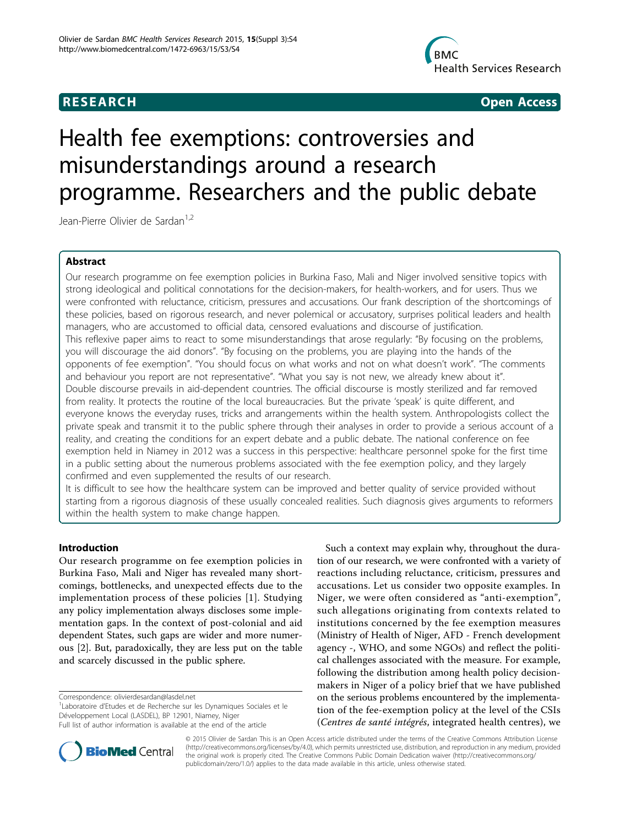

**RESEARCH CONSTRUCTED ACCESS** 

# Health fee exemptions: controversies and misunderstandings around a research programme. Researchers and the public debate

Jean-Pierre Olivier de Sardan<sup>1,2</sup>

# Abstract

Our research programme on fee exemption policies in Burkina Faso, Mali and Niger involved sensitive topics with strong ideological and political connotations for the decision-makers, for health-workers, and for users. Thus we were confronted with reluctance, criticism, pressures and accusations. Our frank description of the shortcomings of these policies, based on rigorous research, and never polemical or accusatory, surprises political leaders and health managers, who are accustomed to official data, censored evaluations and discourse of justification. This reflexive paper aims to react to some misunderstandings that arose regularly: "By focusing on the problems, you will discourage the aid donors". "By focusing on the problems, you are playing into the hands of the opponents of fee exemption". "You should focus on what works and not on what doesn't work". "The comments and behaviour you report are not representative". "What you say is not new, we already knew about it". Double discourse prevails in aid-dependent countries. The official discourse is mostly sterilized and far removed from reality. It protects the routine of the local bureaucracies. But the private 'speak' is quite different, and everyone knows the everyday ruses, tricks and arrangements within the health system. Anthropologists collect the private speak and transmit it to the public sphere through their analyses in order to provide a serious account of a reality, and creating the conditions for an expert debate and a public debate. The national conference on fee exemption held in Niamey in 2012 was a success in this perspective: healthcare personnel spoke for the first time in a public setting about the numerous problems associated with the fee exemption policy, and they largely confirmed and even supplemented the results of our research.

It is difficult to see how the healthcare system can be improved and better quality of service provided without starting from a rigorous diagnosis of these usually concealed realities. Such diagnosis gives arguments to reformers within the health system to make change happen.

# Introduction

Our research programme on fee exemption policies in Burkina Faso, Mali and Niger has revealed many shortcomings, bottlenecks, and unexpected effects due to the implementation process of these policies [[1](#page-5-0)]. Studying any policy implementation always discloses some implementation gaps. In the context of post-colonial and aid dependent States, such gaps are wider and more numerous [\[2](#page-5-0)]. But, paradoxically, they are less put on the table and scarcely discussed in the public sphere.

Correspondence: [olivierdesardan@lasdel.net](mailto:olivierdesardan@lasdel.net)

<sup>1</sup> Laboratoire d'Etudes et de Recherche sur les Dynamiques Sociales et le Développement Local (LASDEL), BP 12901, Niamey, Niger

Such a context may explain why, throughout the duration of our research, we were confronted with a variety of reactions including reluctance, criticism, pressures and accusations. Let us consider two opposite examples. In Niger, we were often considered as "anti-exemption", such allegations originating from contexts related to institutions concerned by the fee exemption measures (Ministry of Health of Niger, AFD - French development agency -, WHO, and some NGOs) and reflect the political challenges associated with the measure. For example, following the distribution among health policy decisionmakers in Niger of a policy brief that we have published on the serious problems encountered by the implementation of the fee-exemption policy at the level of the CSIs (Centres de santé intégrés, integrated health centres), we



© 2015 Olivier de Sardan This is an Open Access article distributed under the terms of the Creative Commons Attribution License [\(http://creativecommons.org/licenses/by/4.0](http://creativecommons.org/licenses/by/4.0)), which permits unrestricted use, distribution, and reproduction in any medium, provided the original work is properly cited. The Creative Commons Public Domain Dedication waiver ([http://creativecommons.org/](http://creativecommons.org/publicdomain/zero/1.0/) [publicdomain/zero/1.0/](http://creativecommons.org/publicdomain/zero/1.0/)) applies to the data made available in this article, unless otherwise stated

Full list of author information is available at the end of the article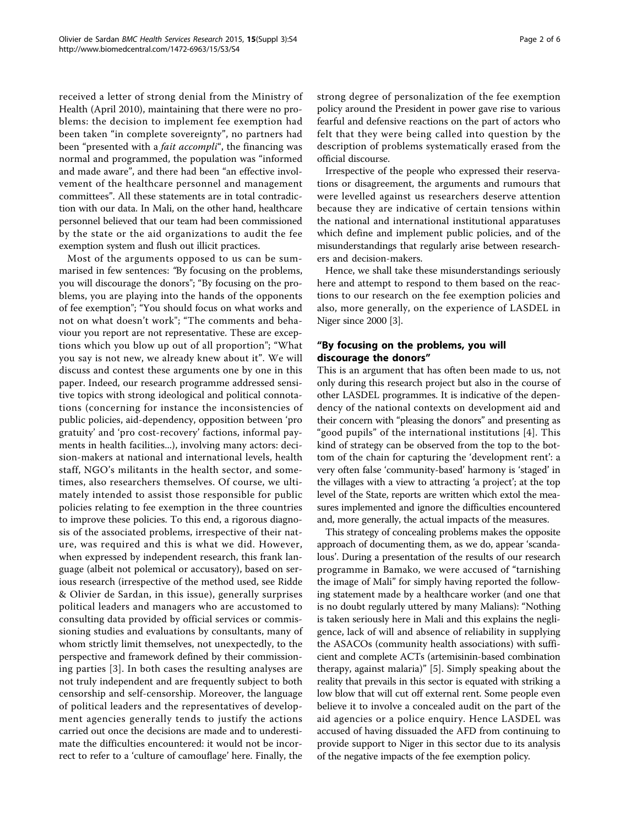received a letter of strong denial from the Ministry of Health (April 2010), maintaining that there were no problems: the decision to implement fee exemption had been taken "in complete sovereignty", no partners had been "presented with a *fait accompli*", the financing was normal and programmed, the population was "informed and made aware", and there had been "an effective involvement of the healthcare personnel and management committees". All these statements are in total contradiction with our data. In Mali, on the other hand, healthcare personnel believed that our team had been commissioned by the state or the aid organizations to audit the fee exemption system and flush out illicit practices.

Most of the arguments opposed to us can be summarised in few sentences: "By focusing on the problems, you will discourage the donors"; "By focusing on the problems, you are playing into the hands of the opponents of fee exemption"; "You should focus on what works and not on what doesn't work"; "The comments and behaviour you report are not representative. These are exceptions which you blow up out of all proportion"; "What you say is not new, we already knew about it". We will discuss and contest these arguments one by one in this paper. Indeed, our research programme addressed sensitive topics with strong ideological and political connotations (concerning for instance the inconsistencies of public policies, aid-dependency, opposition between 'pro gratuity' and 'pro cost-recovery' factions, informal payments in health facilities...), involving many actors: decision-makers at national and international levels, health staff, NGO's militants in the health sector, and sometimes, also researchers themselves. Of course, we ultimately intended to assist those responsible for public policies relating to fee exemption in the three countries to improve these policies. To this end, a rigorous diagnosis of the associated problems, irrespective of their nature, was required and this is what we did. However, when expressed by independent research, this frank language (albeit not polemical or accusatory), based on serious research (irrespective of the method used, see Ridde & Olivier de Sardan, in this issue), generally surprises political leaders and managers who are accustomed to consulting data provided by official services or commissioning studies and evaluations by consultants, many of whom strictly limit themselves, not unexpectedly, to the perspective and framework defined by their commissioning parties [\[3\]](#page-5-0). In both cases the resulting analyses are not truly independent and are frequently subject to both censorship and self-censorship. Moreover, the language of political leaders and the representatives of development agencies generally tends to justify the actions carried out once the decisions are made and to underestimate the difficulties encountered: it would not be incorrect to refer to a 'culture of camouflage' here. Finally, the strong degree of personalization of the fee exemption policy around the President in power gave rise to various fearful and defensive reactions on the part of actors who felt that they were being called into question by the description of problems systematically erased from the official discourse.

Irrespective of the people who expressed their reservations or disagreement, the arguments and rumours that were levelled against us researchers deserve attention because they are indicative of certain tensions within the national and international institutional apparatuses which define and implement public policies, and of the misunderstandings that regularly arise between researchers and decision-makers.

Hence, we shall take these misunderstandings seriously here and attempt to respond to them based on the reactions to our research on the fee exemption policies and also, more generally, on the experience of LASDEL in Niger since 2000 [\[3](#page-5-0)].

# "By focusing on the problems, you will discourage the donors"

This is an argument that has often been made to us, not only during this research project but also in the course of other LASDEL programmes. It is indicative of the dependency of the national contexts on development aid and their concern with "pleasing the donors" and presenting as "good pupils" of the international institutions [[4](#page-5-0)]. This kind of strategy can be observed from the top to the bottom of the chain for capturing the 'development rent': a very often false 'community-based' harmony is 'staged' in the villages with a view to attracting 'a project'; at the top level of the State, reports are written which extol the measures implemented and ignore the difficulties encountered and, more generally, the actual impacts of the measures.

This strategy of concealing problems makes the opposite approach of documenting them, as we do, appear 'scandalous'. During a presentation of the results of our research programme in Bamako, we were accused of "tarnishing the image of Mali" for simply having reported the following statement made by a healthcare worker (and one that is no doubt regularly uttered by many Malians): "Nothing is taken seriously here in Mali and this explains the negligence, lack of will and absence of reliability in supplying the ASACOs (community health associations) with sufficient and complete ACTs (artemisinin-based combination therapy, against malaria)" [\[5\]](#page-5-0). Simply speaking about the reality that prevails in this sector is equated with striking a low blow that will cut off external rent. Some people even believe it to involve a concealed audit on the part of the aid agencies or a police enquiry. Hence LASDEL was accused of having dissuaded the AFD from continuing to provide support to Niger in this sector due to its analysis of the negative impacts of the fee exemption policy.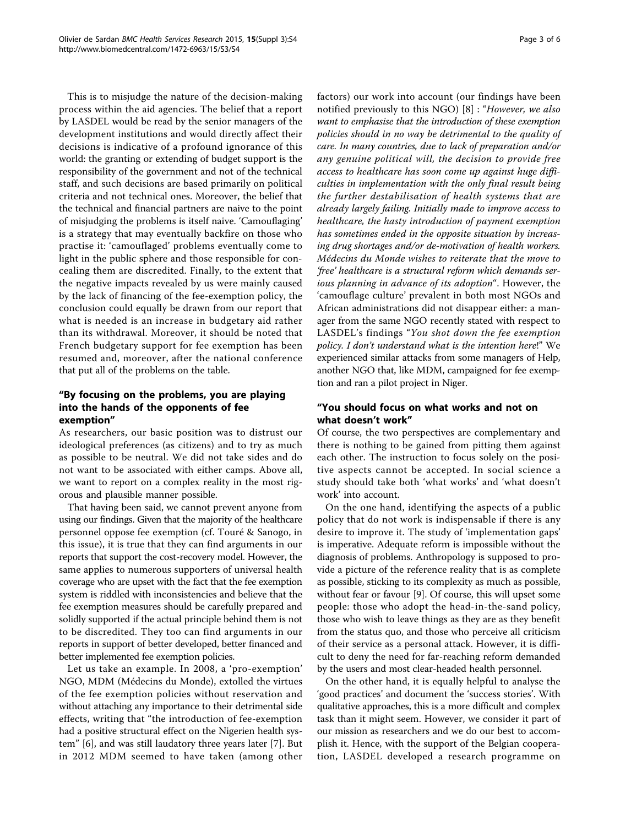This is to misjudge the nature of the decision-making process within the aid agencies. The belief that a report by LASDEL would be read by the senior managers of the development institutions and would directly affect their decisions is indicative of a profound ignorance of this world: the granting or extending of budget support is the responsibility of the government and not of the technical staff, and such decisions are based primarily on political criteria and not technical ones. Moreover, the belief that the technical and financial partners are naive to the point of misjudging the problems is itself naive. 'Camouflaging' is a strategy that may eventually backfire on those who practise it: 'camouflaged' problems eventually come to light in the public sphere and those responsible for concealing them are discredited. Finally, to the extent that the negative impacts revealed by us were mainly caused by the lack of financing of the fee-exemption policy, the conclusion could equally be drawn from our report that what is needed is an increase in budgetary aid rather than its withdrawal. Moreover, it should be noted that French budgetary support for fee exemption has been resumed and, moreover, after the national conference that put all of the problems on the table.

# "By focusing on the problems, you are playing into the hands of the opponents of fee exemption"

As researchers, our basic position was to distrust our ideological preferences (as citizens) and to try as much as possible to be neutral. We did not take sides and do not want to be associated with either camps. Above all, we want to report on a complex reality in the most rigorous and plausible manner possible.

That having been said, we cannot prevent anyone from using our findings. Given that the majority of the healthcare personnel oppose fee exemption (cf. Touré & Sanogo, in this issue), it is true that they can find arguments in our reports that support the cost-recovery model. However, the same applies to numerous supporters of universal health coverage who are upset with the fact that the fee exemption system is riddled with inconsistencies and believe that the fee exemption measures should be carefully prepared and solidly supported if the actual principle behind them is not to be discredited. They too can find arguments in our reports in support of better developed, better financed and better implemented fee exemption policies.

Let us take an example. In 2008, a 'pro-exemption' NGO, MDM (Médecins du Monde), extolled the virtues of the fee exemption policies without reservation and without attaching any importance to their detrimental side effects, writing that "the introduction of fee-exemption had a positive structural effect on the Nigerien health system" [\[6](#page-5-0)], and was still laudatory three years later [[7\]](#page-5-0). But in 2012 MDM seemed to have taken (among other factors) our work into account (our findings have been notified previously to this NGO) [\[8](#page-5-0)] : "However, we also want to emphasise that the introduction of these exemption policies should in no way be detrimental to the quality of care. In many countries, due to lack of preparation and/or any genuine political will, the decision to provide free access to healthcare has soon come up against huge difficulties in implementation with the only final result being the further destabilisation of health systems that are already largely failing. Initially made to improve access to healthcare, the hasty introduction of payment exemption has sometimes ended in the opposite situation by increasing drug shortages and/or de-motivation of health workers. Médecins du Monde wishes to reiterate that the move to 'free' healthcare is a structural reform which demands serious planning in advance of its adoption". However, the 'camouflage culture' prevalent in both most NGOs and African administrations did not disappear either: a manager from the same NGO recently stated with respect to LASDEL's findings "You shot down the fee exemption policy. I don't understand what is the intention here!" We experienced similar attacks from some managers of Help, another NGO that, like MDM, campaigned for fee exemption and ran a pilot project in Niger.

# "You should focus on what works and not on what doesn't work"

Of course, the two perspectives are complementary and there is nothing to be gained from pitting them against each other. The instruction to focus solely on the positive aspects cannot be accepted. In social science a study should take both 'what works' and 'what doesn't work' into account.

On the one hand, identifying the aspects of a public policy that do not work is indispensable if there is any desire to improve it. The study of 'implementation gaps' is imperative. Adequate reform is impossible without the diagnosis of problems. Anthropology is supposed to provide a picture of the reference reality that is as complete as possible, sticking to its complexity as much as possible, without fear or favour [\[9](#page-5-0)]. Of course, this will upset some people: those who adopt the head-in-the-sand policy, those who wish to leave things as they are as they benefit from the status quo, and those who perceive all criticism of their service as a personal attack. However, it is difficult to deny the need for far-reaching reform demanded by the users and most clear-headed health personnel.

On the other hand, it is equally helpful to analyse the 'good practices' and document the 'success stories'. With qualitative approaches, this is a more difficult and complex task than it might seem. However, we consider it part of our mission as researchers and we do our best to accomplish it. Hence, with the support of the Belgian cooperation, LASDEL developed a research programme on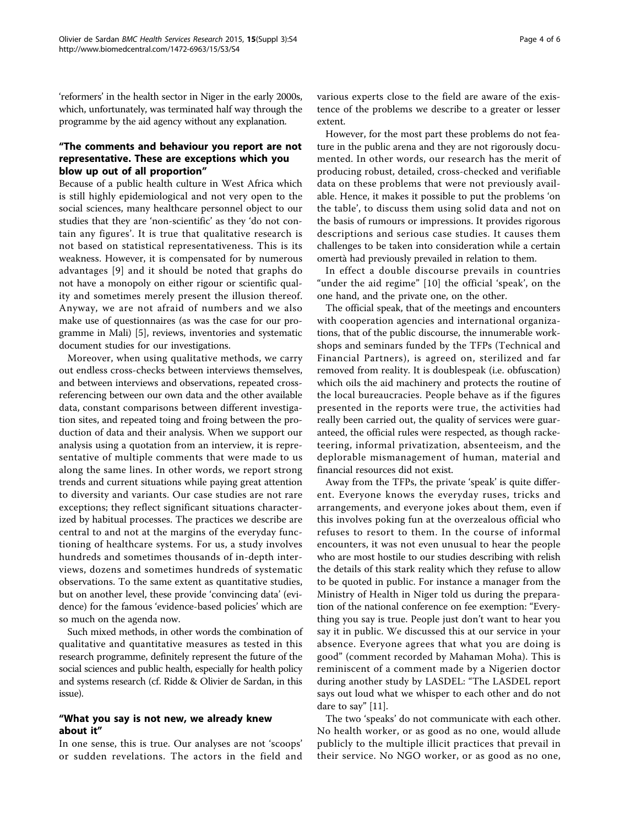'reformers' in the health sector in Niger in the early 2000s, which, unfortunately, was terminated half way through the programme by the aid agency without any explanation.

# "The comments and behaviour you report are not representative. These are exceptions which you blow up out of all proportion"

Because of a public health culture in West Africa which is still highly epidemiological and not very open to the social sciences, many healthcare personnel object to our studies that they are 'non-scientific' as they 'do not contain any figures'. It is true that qualitative research is not based on statistical representativeness. This is its weakness. However, it is compensated for by numerous advantages [[9](#page-5-0)] and it should be noted that graphs do not have a monopoly on either rigour or scientific quality and sometimes merely present the illusion thereof. Anyway, we are not afraid of numbers and we also make use of questionnaires (as was the case for our programme in Mali) [[5\]](#page-5-0), reviews, inventories and systematic document studies for our investigations.

Moreover, when using qualitative methods, we carry out endless cross-checks between interviews themselves, and between interviews and observations, repeated crossreferencing between our own data and the other available data, constant comparisons between different investigation sites, and repeated toing and froing between the production of data and their analysis. When we support our analysis using a quotation from an interview, it is representative of multiple comments that were made to us along the same lines. In other words, we report strong trends and current situations while paying great attention to diversity and variants. Our case studies are not rare exceptions; they reflect significant situations characterized by habitual processes. The practices we describe are central to and not at the margins of the everyday functioning of healthcare systems. For us, a study involves hundreds and sometimes thousands of in-depth interviews, dozens and sometimes hundreds of systematic observations. To the same extent as quantitative studies, but on another level, these provide 'convincing data' (evidence) for the famous 'evidence-based policies' which are so much on the agenda now.

Such mixed methods, in other words the combination of qualitative and quantitative measures as tested in this research programme, definitely represent the future of the social sciences and public health, especially for health policy and systems research (cf. Ridde & Olivier de Sardan, in this issue).

# "What you say is not new, we already knew about it"

In one sense, this is true. Our analyses are not 'scoops' or sudden revelations. The actors in the field and various experts close to the field are aware of the existence of the problems we describe to a greater or lesser extent.

However, for the most part these problems do not feature in the public arena and they are not rigorously documented. In other words, our research has the merit of producing robust, detailed, cross-checked and verifiable data on these problems that were not previously available. Hence, it makes it possible to put the problems 'on the table', to discuss them using solid data and not on the basis of rumours or impressions. It provides rigorous descriptions and serious case studies. It causes them challenges to be taken into consideration while a certain omertà had previously prevailed in relation to them.

In effect a double discourse prevails in countries "under the aid regime" [\[10](#page-5-0)] the official 'speak', on the one hand, and the private one, on the other.

The official speak, that of the meetings and encounters with cooperation agencies and international organizations, that of the public discourse, the innumerable workshops and seminars funded by the TFPs (Technical and Financial Partners), is agreed on, sterilized and far removed from reality. It is doublespeak (i.e. obfuscation) which oils the aid machinery and protects the routine of the local bureaucracies. People behave as if the figures presented in the reports were true, the activities had really been carried out, the quality of services were guaranteed, the official rules were respected, as though racketeering, informal privatization, absenteeism, and the deplorable mismanagement of human, material and financial resources did not exist.

Away from the TFPs, the private 'speak' is quite different. Everyone knows the everyday ruses, tricks and arrangements, and everyone jokes about them, even if this involves poking fun at the overzealous official who refuses to resort to them. In the course of informal encounters, it was not even unusual to hear the people who are most hostile to our studies describing with relish the details of this stark reality which they refuse to allow to be quoted in public. For instance a manager from the Ministry of Health in Niger told us during the preparation of the national conference on fee exemption: "Everything you say is true. People just don't want to hear you say it in public. We discussed this at our service in your absence. Everyone agrees that what you are doing is good" (comment recorded by Mahaman Moha). This is reminiscent of a comment made by a Nigerien doctor during another study by LASDEL: "The LASDEL report says out loud what we whisper to each other and do not dare to say" [\[11\]](#page-5-0).

The two 'speaks' do not communicate with each other. No health worker, or as good as no one, would allude publicly to the multiple illicit practices that prevail in their service. No NGO worker, or as good as no one,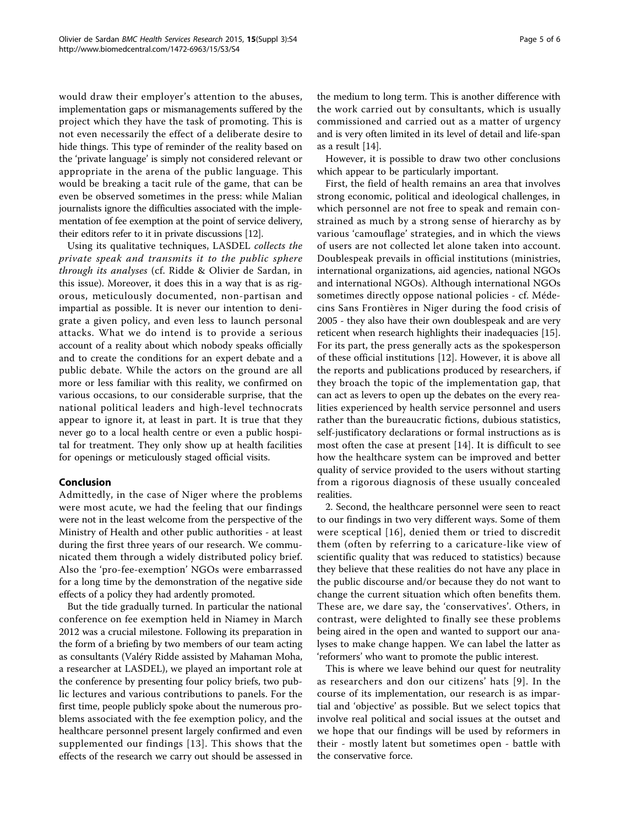would draw their employer's attention to the abuses, implementation gaps or mismanagements suffered by the project which they have the task of promoting. This is not even necessarily the effect of a deliberate desire to hide things. This type of reminder of the reality based on the 'private language' is simply not considered relevant or appropriate in the arena of the public language. This would be breaking a tacit rule of the game, that can be even be observed sometimes in the press: while Malian journalists ignore the difficulties associated with the implementation of fee exemption at the point of service delivery, their editors refer to it in private discussions [\[12](#page-5-0)].

Using its qualitative techniques, LASDEL collects the private speak and transmits it to the public sphere through its analyses (cf. Ridde & Olivier de Sardan, in this issue). Moreover, it does this in a way that is as rigorous, meticulously documented, non-partisan and impartial as possible. It is never our intention to denigrate a given policy, and even less to launch personal attacks. What we do intend is to provide a serious account of a reality about which nobody speaks officially and to create the conditions for an expert debate and a public debate. While the actors on the ground are all more or less familiar with this reality, we confirmed on various occasions, to our considerable surprise, that the national political leaders and high-level technocrats appear to ignore it, at least in part. It is true that they never go to a local health centre or even a public hospital for treatment. They only show up at health facilities for openings or meticulously staged official visits.

# Conclusion

Admittedly, in the case of Niger where the problems were most acute, we had the feeling that our findings were not in the least welcome from the perspective of the Ministry of Health and other public authorities - at least during the first three years of our research. We communicated them through a widely distributed policy brief. Also the 'pro-fee-exemption' NGOs were embarrassed for a long time by the demonstration of the negative side effects of a policy they had ardently promoted.

But the tide gradually turned. In particular the national conference on fee exemption held in Niamey in March 2012 was a crucial milestone. Following its preparation in the form of a briefing by two members of our team acting as consultants (Valéry Ridde assisted by Mahaman Moha, a researcher at LASDEL), we played an important role at the conference by presenting four policy briefs, two public lectures and various contributions to panels. For the first time, people publicly spoke about the numerous problems associated with the fee exemption policy, and the healthcare personnel present largely confirmed and even supplemented our findings [[13\]](#page-5-0). This shows that the effects of the research we carry out should be assessed in

the medium to long term. This is another difference with the work carried out by consultants, which is usually commissioned and carried out as a matter of urgency and is very often limited in its level of detail and life-span as a result [\[14](#page-5-0)].

However, it is possible to draw two other conclusions which appear to be particularly important.

First, the field of health remains an area that involves strong economic, political and ideological challenges, in which personnel are not free to speak and remain constrained as much by a strong sense of hierarchy as by various 'camouflage' strategies, and in which the views of users are not collected let alone taken into account. Doublespeak prevails in official institutions (ministries, international organizations, aid agencies, national NGOs and international NGOs). Although international NGOs sometimes directly oppose national policies - cf. Médecins Sans Frontières in Niger during the food crisis of 2005 - they also have their own doublespeak and are very reticent when research highlights their inadequacies [\[15](#page-5-0)]. For its part, the press generally acts as the spokesperson of these official institutions [[12\]](#page-5-0). However, it is above all the reports and publications produced by researchers, if they broach the topic of the implementation gap, that can act as levers to open up the debates on the every realities experienced by health service personnel and users rather than the bureaucratic fictions, dubious statistics, self-justificatory declarations or formal instructions as is most often the case at present [\[14\]](#page-5-0). It is difficult to see how the healthcare system can be improved and better quality of service provided to the users without starting from a rigorous diagnosis of these usually concealed realities.

2. Second, the healthcare personnel were seen to react to our findings in two very different ways. Some of them were sceptical [[16](#page-5-0)], denied them or tried to discredit them (often by referring to a caricature-like view of scientific quality that was reduced to statistics) because they believe that these realities do not have any place in the public discourse and/or because they do not want to change the current situation which often benefits them. These are, we dare say, the 'conservatives'. Others, in contrast, were delighted to finally see these problems being aired in the open and wanted to support our analyses to make change happen. We can label the latter as 'reformers' who want to promote the public interest.

This is where we leave behind our quest for neutrality as researchers and don our citizens' hats [[9\]](#page-5-0). In the course of its implementation, our research is as impartial and 'objective' as possible. But we select topics that involve real political and social issues at the outset and we hope that our findings will be used by reformers in their - mostly latent but sometimes open - battle with the conservative force.